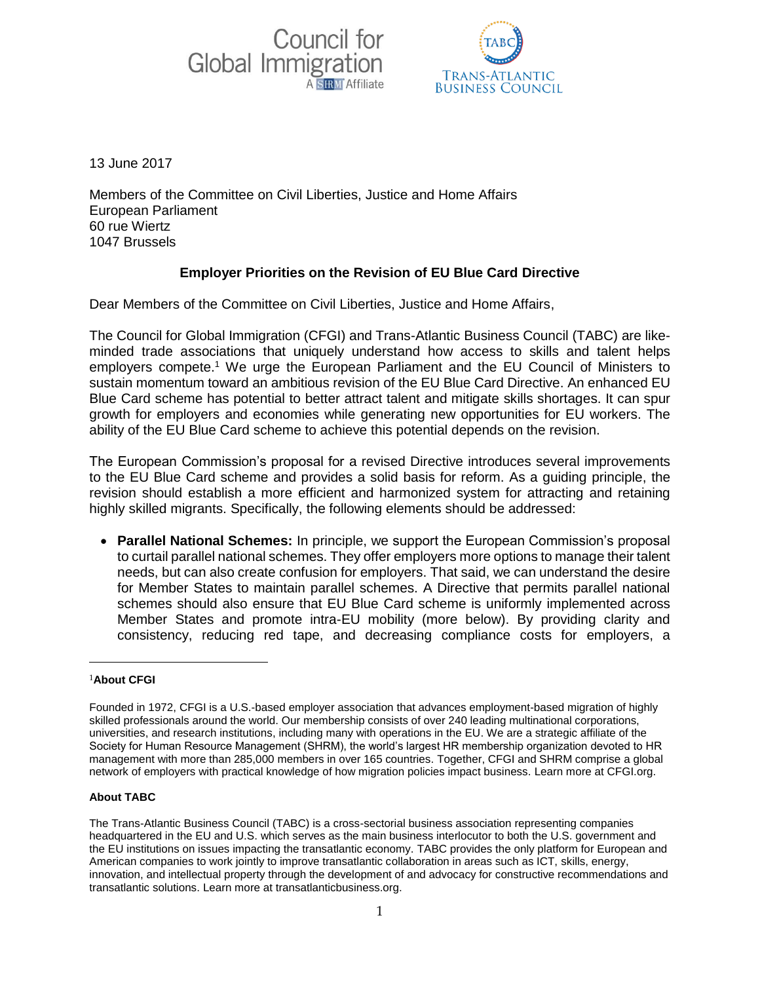



13 June 2017

Members of the Committee on Civil Liberties, Justice and Home Affairs European Parliament 60 rue Wiertz 1047 Brussels

## **Employer Priorities on the Revision of EU Blue Card Directive**

Dear Members of the Committee on Civil Liberties, Justice and Home Affairs,

The Council for Global Immigration (CFGI) and Trans-Atlantic Business Council (TABC) are likeminded trade associations that uniquely understand how access to skills and talent helps employers compete.<sup>1</sup> We urge the European Parliament and the EU Council of Ministers to sustain momentum toward an ambitious revision of the EU Blue Card Directive. An enhanced EU Blue Card scheme has potential to better attract talent and mitigate skills shortages. It can spur growth for employers and economies while generating new opportunities for EU workers. The ability of the EU Blue Card scheme to achieve this potential depends on the revision.

The European Commission's proposal for a revised Directive introduces several improvements to the EU Blue Card scheme and provides a solid basis for reform. As a guiding principle, the revision should establish a more efficient and harmonized system for attracting and retaining highly skilled migrants. Specifically, the following elements should be addressed:

 **Parallel National Schemes:** In principle, we support the European Commission's proposal to curtail parallel national schemes. They offer employers more options to manage their talent needs, but can also create confusion for employers. That said, we can understand the desire for Member States to maintain parallel schemes. A Directive that permits parallel national schemes should also ensure that EU Blue Card scheme is uniformly implemented across Member States and promote intra-EU mobility (more below). By providing clarity and consistency, reducing red tape, and decreasing compliance costs for employers, a

## <sup>1</sup>**About CFGI**

1

## **About TABC**

Founded in 1972, CFGI is a U.S.-based employer association that advances employment-based migration of highly skilled professionals around the world. Our membership consists of over 240 leading multinational corporations, universities, and research institutions, including many with operations in the EU. We are a strategic affiliate of the Society for Human Resource Management (SHRM), the world's largest HR membership organization devoted to HR management with more than 285,000 members in over 165 countries. Together, CFGI and SHRM comprise a global network of employers with practical knowledge of how migration policies impact business. Learn more at CFGI.org.

The Trans-Atlantic Business Council (TABC) is a cross-sectorial business association representing companies headquartered in the EU and U.S. which serves as the main business interlocutor to both the U.S. government and the EU institutions on issues impacting the transatlantic economy. TABC provides the only platform for European and American companies to work jointly to improve transatlantic collaboration in areas such as ICT, skills, energy, innovation, and intellectual property through the development of and advocacy for constructive recommendations and transatlantic solutions. Learn more at transatlanticbusiness.org.